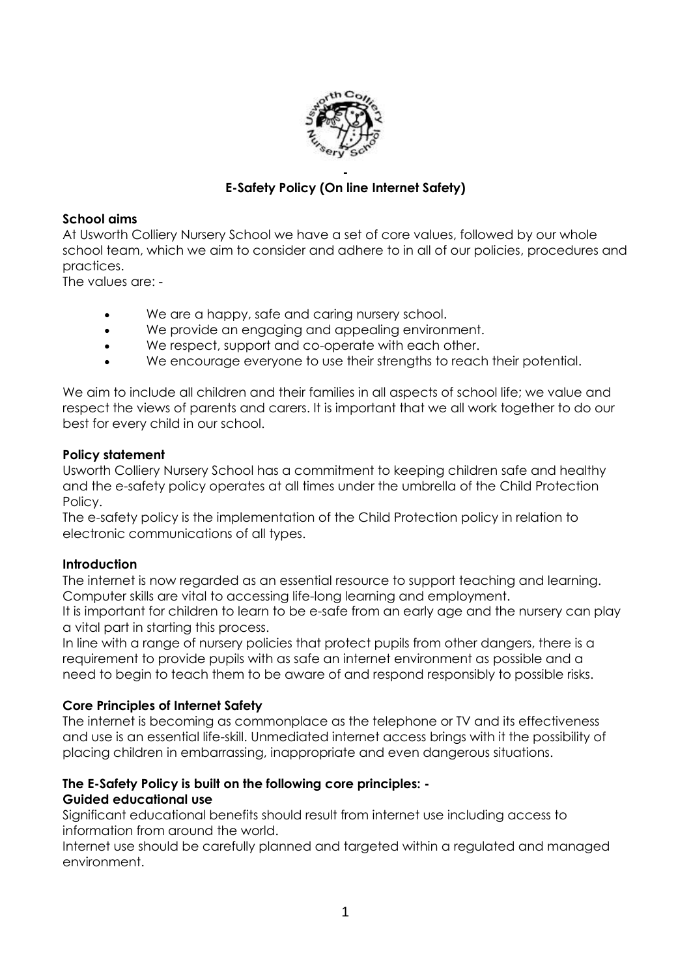

# **E-Safety Policy (On line Internet Safety)**

#### **School aims**

At Usworth Colliery Nursery School we have a set of core values, followed by our whole school team, which we aim to consider and adhere to in all of our policies, procedures and practices.

The values are: -

- We are a happy, safe and caring nursery school.
- We provide an engaging and appealing environment.
- We respect, support and co-operate with each other.
- We encourage everyone to use their strengths to reach their potential.

We aim to include all children and their families in all aspects of school life; we value and respect the views of parents and carers. It is important that we all work together to do our best for every child in our school.

#### **Policy statement**

Usworth Colliery Nursery School has a commitment to keeping children safe and healthy and the e-safety policy operates at all times under the umbrella of the Child Protection Policy.

The e-safety policy is the implementation of the Child Protection policy in relation to electronic communications of all types.

# **Introduction**

The internet is now regarded as an essential resource to support teaching and learning. Computer skills are vital to accessing life-long learning and employment.

It is important for children to learn to be e-safe from an early age and the nursery can play a vital part in starting this process.

In line with a range of nursery policies that protect pupils from other dangers, there is a requirement to provide pupils with as safe an internet environment as possible and a need to begin to teach them to be aware of and respond responsibly to possible risks.

# **Core Principles of Internet Safety**

The internet is becoming as commonplace as the telephone or TV and its effectiveness and use is an essential life-skill. Unmediated internet access brings with it the possibility of placing children in embarrassing, inappropriate and even dangerous situations.

# **The E-Safety Policy is built on the following core principles: -**

# **Guided educational use**

Significant educational benefits should result from internet use including access to information from around the world.

Internet use should be carefully planned and targeted within a regulated and managed environment.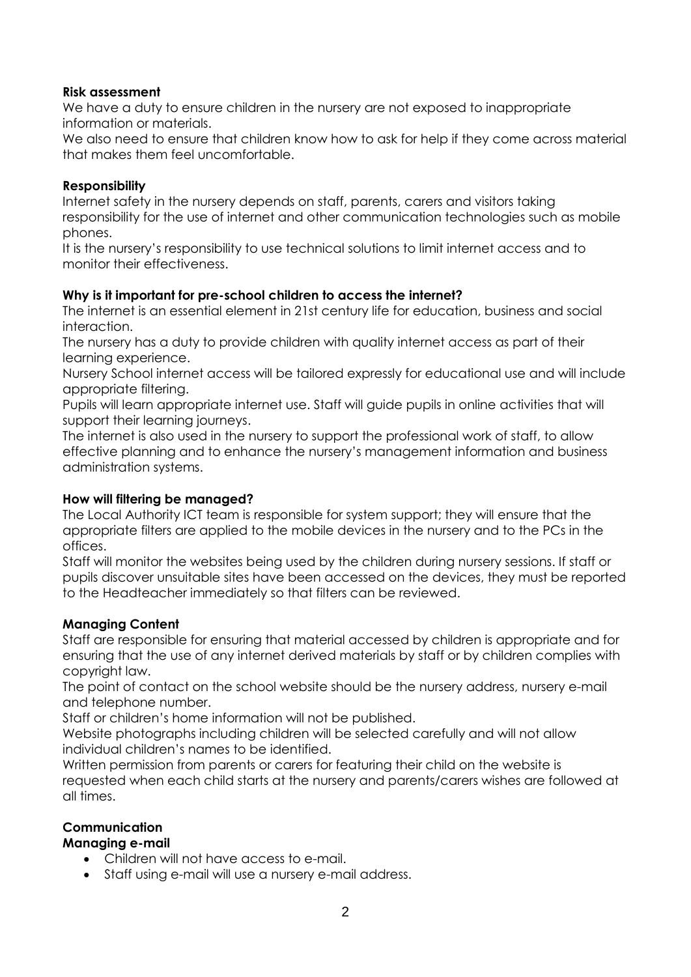# **Risk assessment**

We have a duty to ensure children in the nursery are not exposed to inappropriate information or materials.

We also need to ensure that children know how to ask for help if they come across material that makes them feel uncomfortable.

# **Responsibility**

Internet safety in the nursery depends on staff, parents, carers and visitors taking responsibility for the use of internet and other communication technologies such as mobile phones.

It is the nursery's responsibility to use technical solutions to limit internet access and to monitor their effectiveness.

# **Why is it important for pre-school children to access the internet?**

The internet is an essential element in 21st century life for education, business and social interaction.

The nursery has a duty to provide children with quality internet access as part of their learning experience.

Nursery School internet access will be tailored expressly for educational use and will include appropriate filtering.

Pupils will learn appropriate internet use. Staff will guide pupils in online activities that will support their learning journeys.

The internet is also used in the nursery to support the professional work of staff, to allow effective planning and to enhance the nursery's management information and business administration systems.

# **How will filtering be managed?**

The Local Authority ICT team is responsible for system support; they will ensure that the appropriate filters are applied to the mobile devices in the nursery and to the PCs in the offices.

Staff will monitor the websites being used by the children during nursery sessions. If staff or pupils discover unsuitable sites have been accessed on the devices, they must be reported to the Headteacher immediately so that filters can be reviewed.

# **Managing Content**

Staff are responsible for ensuring that material accessed by children is appropriate and for ensuring that the use of any internet derived materials by staff or by children complies with copyright law.

The point of contact on the school website should be the nursery address, nursery e-mail and telephone number.

Staff or children's home information will not be published.

Website photographs including children will be selected carefully and will not allow individual children's names to be identified.

Written permission from parents or carers for featuring their child on the website is requested when each child starts at the nursery and parents/carers wishes are followed at all times.

# **Communication**

#### **Managing e-mail**

- Children will not have access to e-mail.
- Staff using e-mail will use a nursery e-mail address.